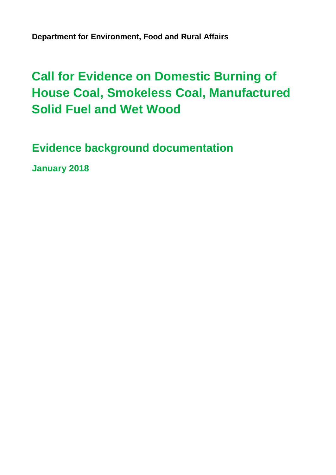**Department for Environment, Food and Rural Affairs**

# **Call for Evidence on Domestic Burning of House Coal, Smokeless Coal, Manufactured Solid Fuel and Wet Wood**

**Evidence background documentation**

**January 2018**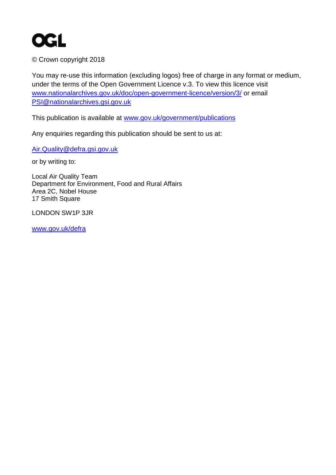

© Crown copyright 2018

You may re-use this information (excluding logos) free of charge in any format or medium, under the terms of the Open Government Licence v.3. To view this licence visit [www.nationalarchives.gov.uk/doc/open-government-licence/version/3/](http://www.nationalarchives.gov.uk/doc/open-government-licence/version/3/) or email [PSI@nationalarchives.gsi.gov.uk](mailto:PSI@nationalarchives.gsi.gov.uk) 

This publication is available at [www.gov.uk/government/publications](http://www.gov.uk/government/publications) 

Any enquiries regarding this publication should be sent to us at:

[Air.Quality@defra.gsi.gov.uk](mailto:Air.Quality@defra.gsi.gov.uk)

or by writing to:

Local Air Quality Team Department for Environment, Food and Rural Affairs Area 2C, Nobel House 17 Smith Square

LONDON SW1P 3JR

[www.gov.uk/defra](http://www.gov.uk/defra)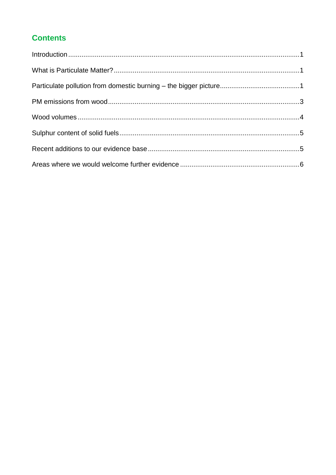# **Contents**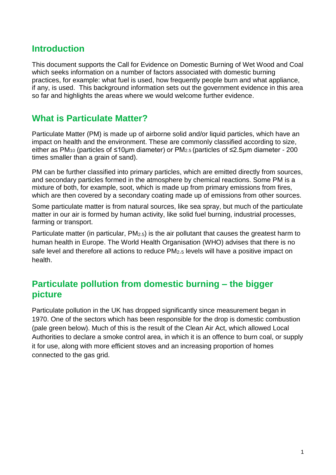# <span id="page-3-0"></span>**Introduction**

This document supports the Call for Evidence on Domestic Burning of Wet Wood and Coal which seeks information on a number of factors associated with domestic burning practices, for example: what fuel is used, how frequently people burn and what appliance, if any, is used. This background information sets out the government evidence in this area so far and highlights the areas where we would welcome further evidence.

# <span id="page-3-1"></span>**What is Particulate Matter?**

Particulate Matter (PM) is made up of airborne solid and/or liquid particles, which have an impact on health and the environment. These are commonly classified according to size, either as PM<sup>10</sup> (particles of ≤10µm diameter) or PM2.5 (particles of ≤2.5µm diameter - 200 times smaller than a grain of sand).

PM can be further classified into primary particles, which are emitted directly from sources, and secondary particles formed in the atmosphere by chemical reactions. Some PM is a mixture of both, for example, soot, which is made up from primary emissions from fires, which are then covered by a secondary coating made up of emissions from other sources.

Some particulate matter is from natural sources, like sea spray, but much of the particulate matter in our air is formed by human activity, like solid fuel burning, industrial processes, farming or transport.

Particulate matter (in particular,  $PM<sub>2.5</sub>$ ) is the air pollutant that causes the greatest harm to human health in Europe. The World Health Organisation (WHO) advises that there is no safe level and therefore all actions to reduce PM2.<sup>5</sup> levels will have a positive impact on health.

# <span id="page-3-2"></span>**Particulate pollution from domestic burning – the bigger picture**

Particulate pollution in the UK has dropped significantly since measurement began in 1970. One of the sectors which has been responsible for the drop is domestic combustion (pale green below). Much of this is the result of the Clean Air Act, which allowed Local Authorities to declare a smoke control area, in which it is an offence to burn coal, or supply it for use, along with more efficient stoves and an increasing proportion of homes connected to the gas grid.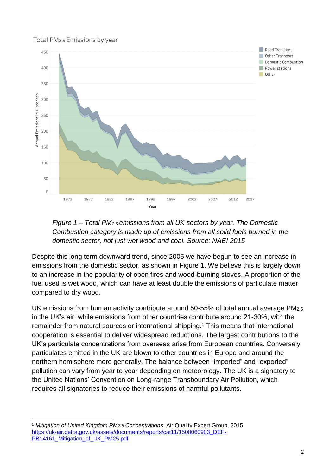#### Total PM<sub>2.5</sub> Emissions by year





Despite this long term downward trend, since 2005 we have begun to see an increase in emissions from the domestic sector, as shown in Figure 1. We believe this is largely down to an increase in the popularity of open fires and wood-burning stoves. A proportion of the fuel used is wet wood, which can have at least double the emissions of particulate matter compared to dry wood.

UK emissions from human activity contribute around 50-55% of total annual average PM2.5 in the UK's air, while emissions from other countries contribute around 21-30%, with the remainder from natural sources or international shipping.<sup>1</sup> This means that international cooperation is essential to deliver widespread reductions. The largest contributions to the UK's particulate concentrations from overseas arise from European countries. Conversely, particulates emitted in the UK are blown to other countries in Europe and around the northern hemisphere more generally. The balance between "imported" and "exported" pollution can vary from year to year depending on meteorology. The UK is a signatory to the United Nations' Convention on Long-range Transboundary Air Pollution, which requires all signatories to reduce their emissions of harmful pollutants.

<sup>1</sup> *Mitigation of United Kingdom PM2.5 Concentrations*, Air Quality Expert Group, 2015 [https://uk-air.defra.gov.uk/assets/documents/reports/cat11/1508060903\\_DEF-](https://uk-air.defra.gov.uk/assets/documents/reports/cat11/1508060903_DEF-PB14161_Mitigation_of_UK_PM25.pdf)[PB14161\\_Mitigation\\_of\\_UK\\_PM25.pdf](https://uk-air.defra.gov.uk/assets/documents/reports/cat11/1508060903_DEF-PB14161_Mitigation_of_UK_PM25.pdf)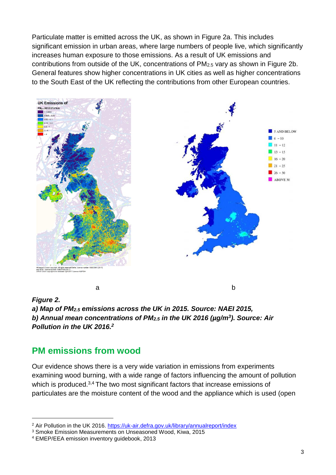Particulate matter is emitted across the UK, as shown in Figure 2a. This includes significant emission in urban areas, where large numbers of people live, which significantly increases human exposure to those emissions. As a result of UK emissions and contributions from outside of the UK, concentrations of PM2.5 vary as shown in Figure 2b. General features show higher concentrations in UK cities as well as higher concentrations to the South East of the UK reflecting the contributions from other European countries.





#### <span id="page-5-1"></span><span id="page-5-0"></span>**PM emissions from wood**

Our evidence shows there is a very wide variation in emissions from experiments examining wood burning, with a wide range of factors influencing the amount of pollution which is produced.<sup>3,4</sup> The two most significant factors that increase emissions of particulates are the moisture content of the wood and the appliance which is used (open

<sup>2</sup> Air Pollution in the UK 2016.<https://uk-air.defra.gov.uk/library/annualreport/index>

<sup>3</sup> Smoke Emission Measurements on Unseasoned Wood, Kiwa, 2015

<sup>4</sup> EMEP/EEA emission inventory guidebook, 2013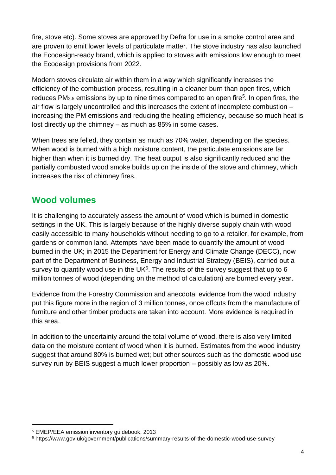fire, stove etc). Some stoves are approved by Defra for use in a smoke control area and are proven to emit lower levels of particulate matter. The stove industry has also launched the Ecodesign-ready brand, which is applied to stoves with emissions low enough to meet the Ecodesign provisions from 2022.

Modern stoves circulate air within them in a way which significantly increases the efficiency of the combustion process, resulting in a cleaner burn than open fires, which reduces PM<sub>2.5</sub> emissions by up to nine times compared to an open fire<sup>5</sup>. In open fires, the air flow is largely uncontrolled and this increases the extent of incomplete combustion – increasing the PM emissions and reducing the heating efficiency, because so much heat is lost directly up the chimney – as much as 85% in some cases.

When trees are felled, they contain as much as 70% water, depending on the species. When wood is burned with a high moisture content, the particulate emissions are far higher than when it is burned dry. The heat output is also significantly reduced and the partially combusted wood smoke builds up on the inside of the stove and chimney, which increases the risk of chimney fires.

# <span id="page-6-0"></span>**Wood volumes**

It is challenging to accurately assess the amount of wood which is burned in domestic settings in the UK. This is largely because of the highly diverse supply chain with wood easily accessible to many households without needing to go to a retailer, for example, from gardens or common land. Attempts have been made to quantify the amount of wood burned in the UK; in 2015 the Department for Energy and Climate Change (DECC), now part of the Department of Business, Energy and Industrial Strategy (BEIS), carried out a survey to quantify wood use in the UK $6$ . The results of the survey suggest that up to  $6$ million tonnes of wood (depending on the method of calculation) are burned every year.

Evidence from the Forestry Commission and anecdotal evidence from the wood industry put this figure more in the region of 3 million tonnes, once offcuts from the manufacture of furniture and other timber products are taken into account. More evidence is required in this area.

In addition to the uncertainty around the total volume of wood, there is also very limited data on the moisture content of wood when it is burned. Estimates from the wood industry suggest that around 80% is burned wet; but other sources such as the domestic wood use survey run by BEIS suggest a much lower proportion – possibly as low as 20%.

<sup>5</sup> EMEP/EEA emission inventory guidebook, 2013

<sup>6</sup> https://www.gov.uk/government/publications/summary-results-of-the-domestic-wood-use-survey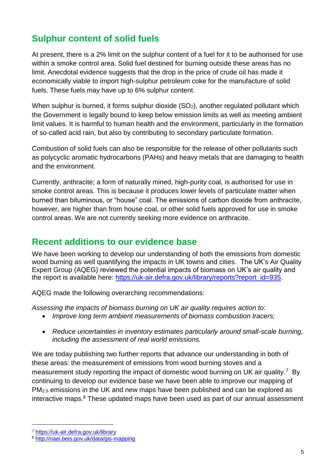# <span id="page-7-0"></span>**Sulphur content of solid fuels**

At present, there is a 2% limit on the sulphur content of a fuel for it to be authorised for use within a smoke control area. Solid fuel destined for burning outside these areas has no limit. Anecdotal evidence suggests that the drop in the price of crude oil has made it economically viable to import high-sulphur petroleum coke for the manufacture of solid fuels. These fuels may have up to 6% sulphur content.

When sulphur is burned, it forms sulphur dioxide (SO<sub>2</sub>), another regulated pollutant which the Government is legally bound to keep below emission limits as well as meeting ambient limit values. It is harmful to human health and the environment, particularly in the formation of so-called acid rain, but also by contributing to secondary particulate formation.

Combustion of solid fuels can also be responsible for the release of other pollutants such as polycyclic aromatic hydrocarbons (PAHs) and heavy metals that are damaging to health and the environment.

Currently, anthracite; a form of naturally mined, high-purity coal, is authorised for use in smoke control areas. This is because it produces lower levels of particulate matter when burned than bituminous, or "house" coal. The emissions of carbon dioxide from anthracite, however, are higher than from house coal, or other solid fuels approved for use in smoke control areas. We are not currently seeking more evidence on anthracite.

# <span id="page-7-1"></span>**Recent additions to our evidence base**

We have been working to develop our understanding of both the emissions from domestic wood burning as well quantifying the impacts in UK towns and cities. The UK's Air Quality Expert Group (AQEG) reviewed the potential impacts of biomass on UK's air quality and the report is available here: [https://uk-air.defra.gov.uk/library/reports?report\\_id=935.](https://uk-air.defra.gov.uk/library/reports?report_id=935)

AQEG made the following overarching recommendations:

*Assessing the impacts of biomass burning on UK air quality requires action to:* 

- *Improve long term ambient measurements of biomass combustion tracers;*
- *Reduce uncertainties in inventory estimates particularly around small-scale burning, including the assessment of real world emissions.*

We are today publishing two further reports that advance our understanding in both of these areas: the measurement of emissions from wood burning stoves and a measurement study reporting the impact of domestic wood burning on UK air quality.<sup>7</sup> By continuing to develop our evidence base we have been able to improve our mapping of PM2.5 emissions in the UK and new maps have been published and can be explored as interactive maps.<sup>8</sup> These updated maps have been used as part of our annual assessment

<sup>7</sup> <https://uk-air.defra.gov.uk/library>

<sup>8</sup> <http://naei.beis.gov.uk/data/gis-mapping>